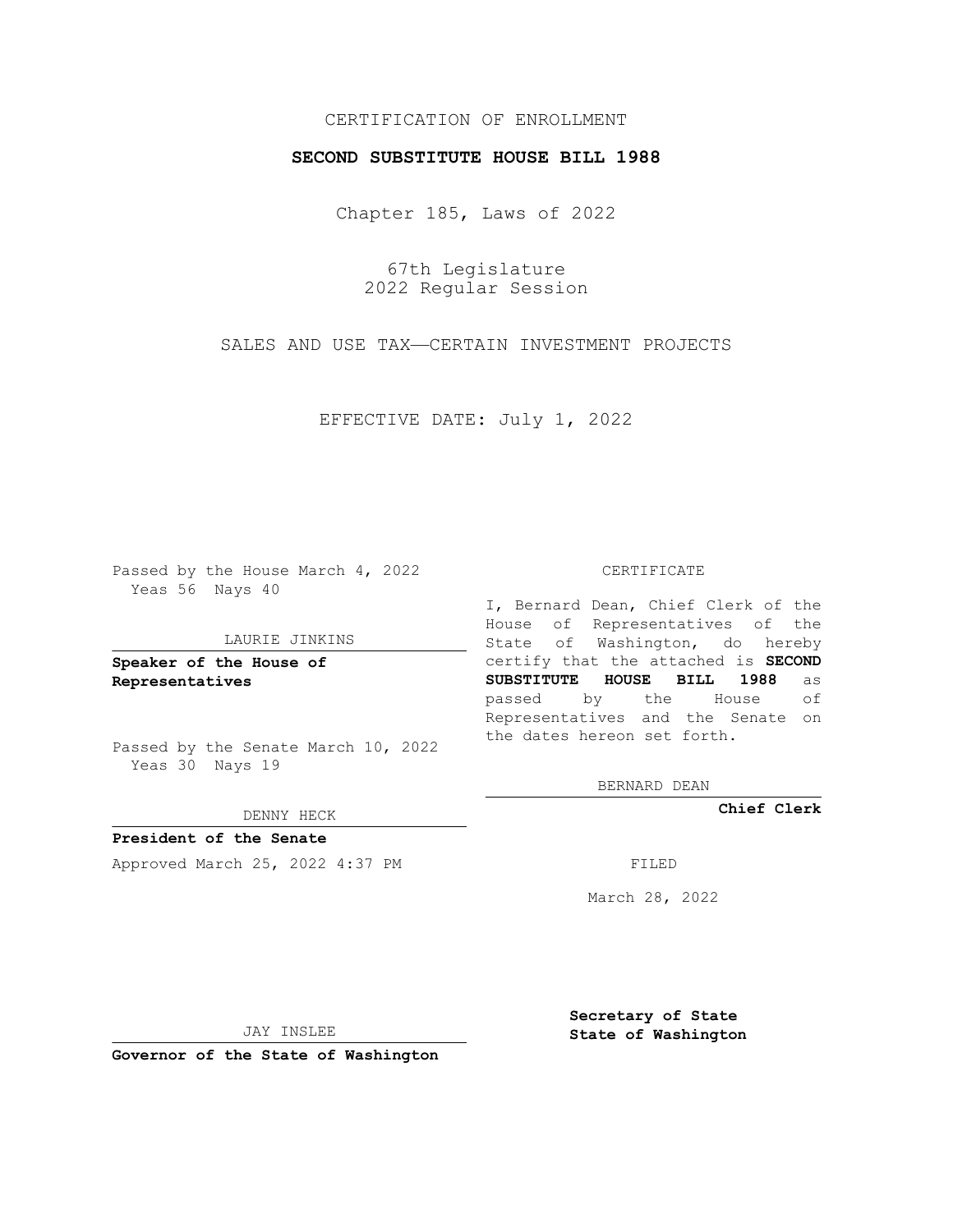# CERTIFICATION OF ENROLLMENT

## **SECOND SUBSTITUTE HOUSE BILL 1988**

Chapter 185, Laws of 2022

67th Legislature 2022 Regular Session

SALES AND USE TAX—CERTAIN INVESTMENT PROJECTS

EFFECTIVE DATE: July 1, 2022

Passed by the House March 4, 2022 Yeas 56 Nays 40

### LAURIE JINKINS

**Speaker of the House of Representatives**

Passed by the Senate March 10, 2022 Yeas 30 Nays 19

#### DENNY HECK

**President of the Senate** Approved March 25, 2022 4:37 PM

#### CERTIFICATE

I, Bernard Dean, Chief Clerk of the House of Representatives of the State of Washington, do hereby certify that the attached is **SECOND SUBSTITUTE HOUSE BILL 1988** as passed by the House of Representatives and the Senate on the dates hereon set forth.

BERNARD DEAN

**Chief Clerk**

March 28, 2022

JAY INSLEE

**Governor of the State of Washington**

**Secretary of State State of Washington**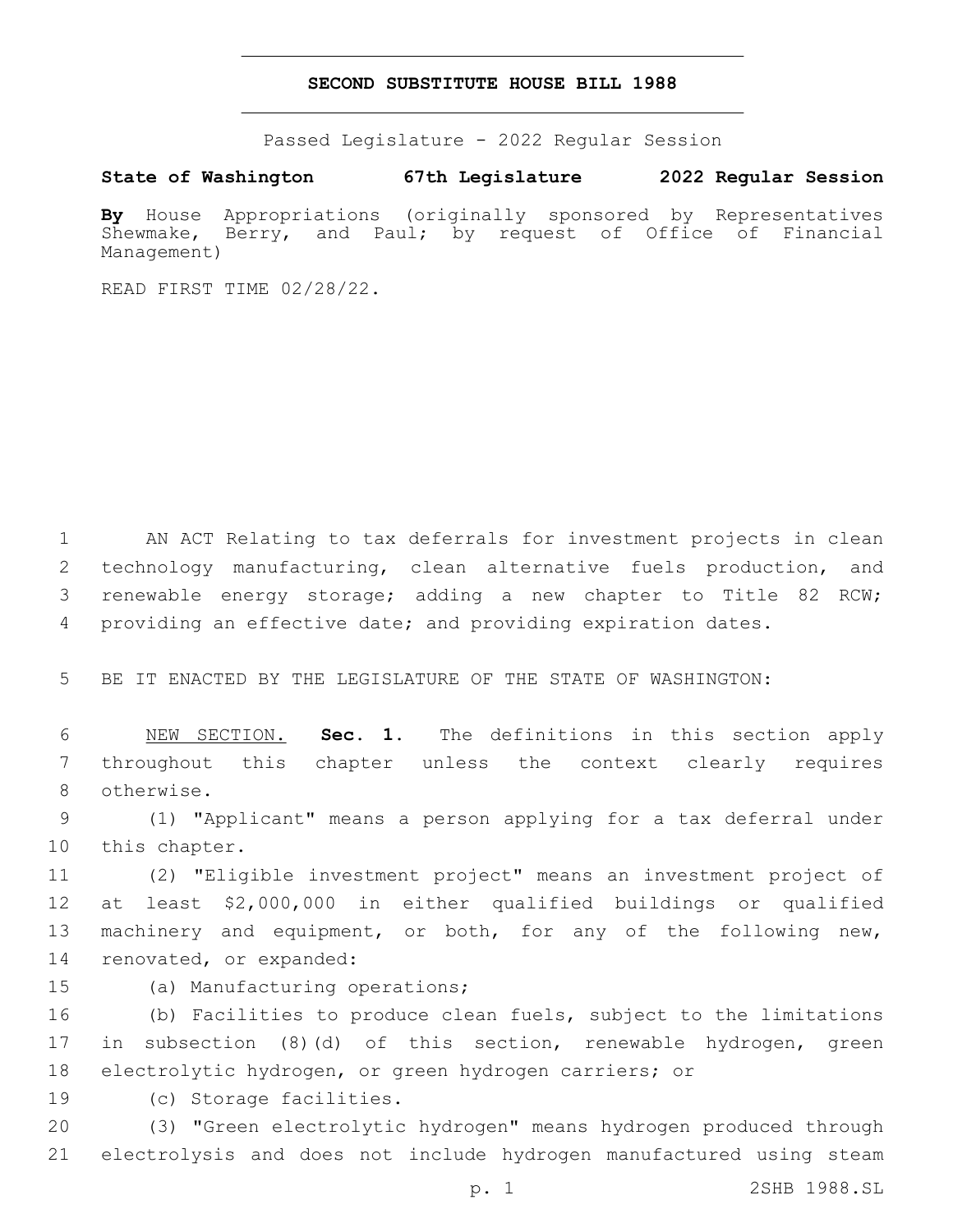## **SECOND SUBSTITUTE HOUSE BILL 1988**

Passed Legislature - 2022 Regular Session

**State of Washington 67th Legislature 2022 Regular Session**

**By** House Appropriations (originally sponsored by Representatives Shewmake, Berry, and Paul; by request of Office of Financial Management)

READ FIRST TIME 02/28/22.

 AN ACT Relating to tax deferrals for investment projects in clean 2 technology manufacturing, clean alternative fuels production, and renewable energy storage; adding a new chapter to Title 82 RCW; providing an effective date; and providing expiration dates.

5 BE IT ENACTED BY THE LEGISLATURE OF THE STATE OF WASHINGTON:

6 NEW SECTION. **Sec. 1.** The definitions in this section apply 7 throughout this chapter unless the context clearly requires 8 otherwise.

9 (1) "Applicant" means a person applying for a tax deferral under 10 this chapter.

 (2) "Eligible investment project" means an investment project of at least \$2,000,000 in either qualified buildings or qualified machinery and equipment, or both, for any of the following new, 14 renovated, or expanded:

15 (a) Manufacturing operations;

16 (b) Facilities to produce clean fuels, subject to the limitations 17 in subsection (8)(d) of this section, renewable hydrogen, green

18 electrolytic hydrogen, or green hydrogen carriers; or

19 (c) Storage facilities.

20 (3) **"**Green electrolytic hydrogen**"** means hydrogen produced through 21 electrolysis and does not include hydrogen manufactured using steam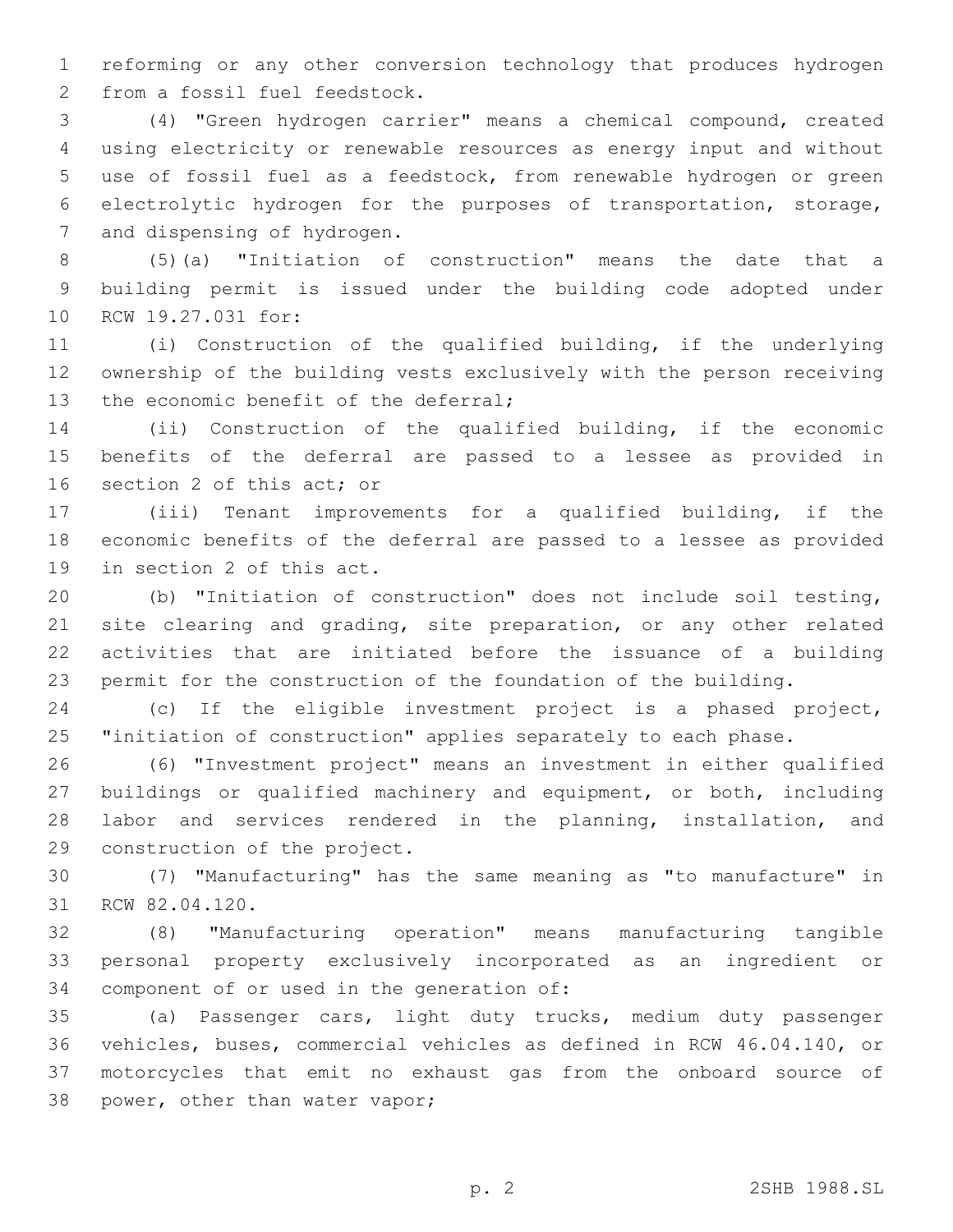reforming or any other conversion technology that produces hydrogen 2 from a fossil fuel feedstock.

 (4) "Green hydrogen carrier" means a chemical compound, created using electricity or renewable resources as energy input and without use of fossil fuel as a feedstock, from renewable hydrogen or green electrolytic hydrogen for the purposes of transportation, storage, 7 and dispensing of hydrogen.

 (5)(a) "Initiation of construction" means the date that a building permit is issued under the building code adopted under 10 RCW 19.27.031 for:

 (i) Construction of the qualified building, if the underlying ownership of the building vests exclusively with the person receiving 13 the economic benefit of the deferral;

 (ii) Construction of the qualified building, if the economic benefits of the deferral are passed to a lessee as provided in 16 section 2 of this act; or

 (iii) Tenant improvements for a qualified building, if the economic benefits of the deferral are passed to a lessee as provided 19 in section 2 of this act.

 (b) "Initiation of construction" does not include soil testing, 21 site clearing and grading, site preparation, or any other related activities that are initiated before the issuance of a building permit for the construction of the foundation of the building.

 (c) If the eligible investment project is a phased project, "initiation of construction" applies separately to each phase.

 (6) "Investment project" means an investment in either qualified buildings or qualified machinery and equipment, or both, including labor and services rendered in the planning, installation, and 29 construction of the project.

 (7) "Manufacturing" has the same meaning as "to manufacture" in 31 RCW 82.04.120.

 (8) "Manufacturing operation" means manufacturing tangible personal property exclusively incorporated as an ingredient or 34 component of or used in the generation of:

 (a) Passenger cars, light duty trucks, medium duty passenger vehicles, buses, commercial vehicles as defined in RCW 46.04.140, or motorcycles that emit no exhaust gas from the onboard source of 38 power, other than water vapor;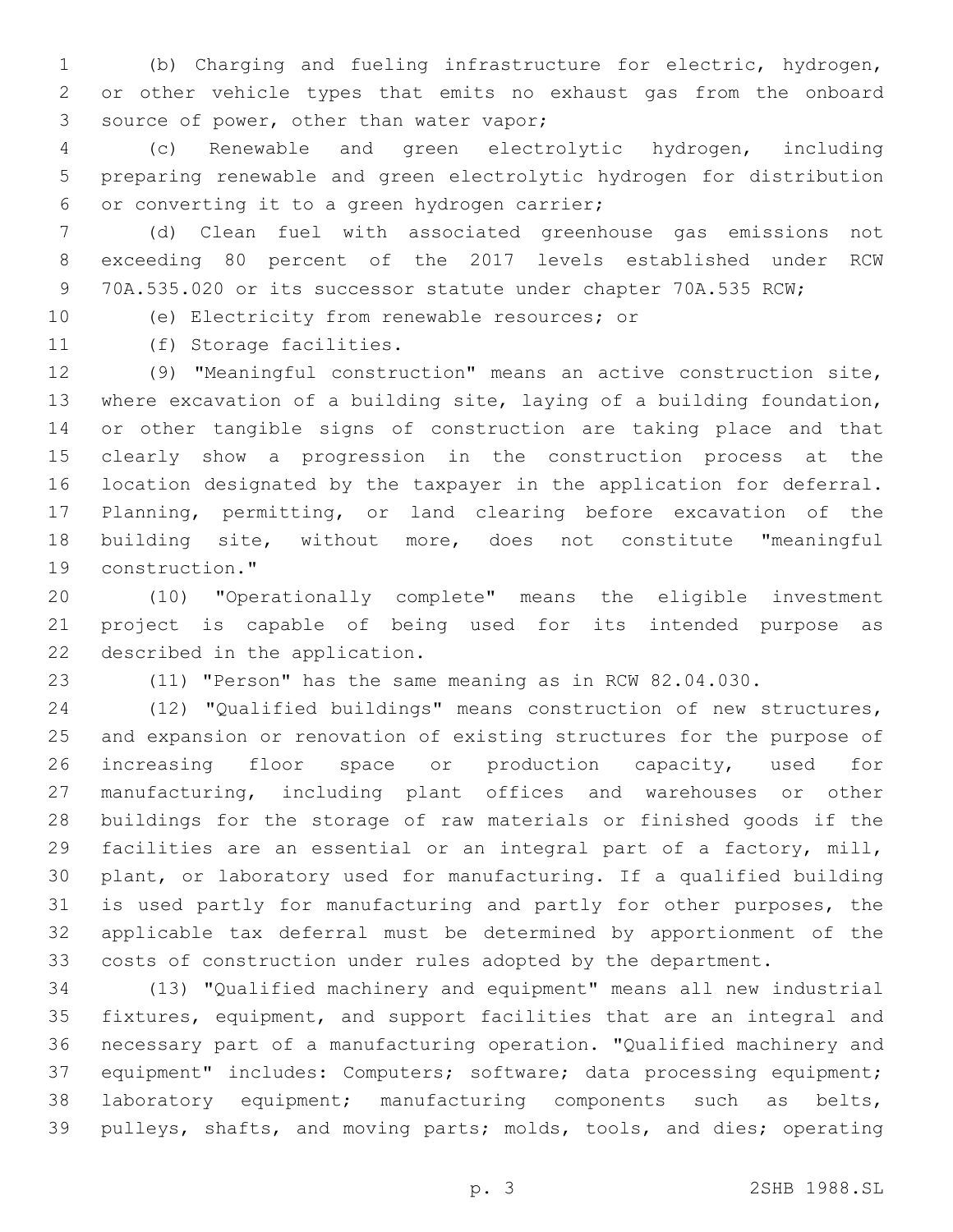(b) Charging and fueling infrastructure for electric, hydrogen, or other vehicle types that emits no exhaust gas from the onboard 3 source of power, other than water vapor;

 (c) Renewable and green electrolytic hydrogen, including preparing renewable and green electrolytic hydrogen for distribution 6 or converting it to a green hydrogen carrier;

 (d) Clean fuel with associated greenhouse gas emissions not exceeding 80 percent of the 2017 levels established under RCW 70A.535.020 or its successor statute under chapter 70A.535 RCW;

10 (e) Electricity from renewable resources; or

11 (f) Storage facilities.

 (9) "Meaningful construction" means an active construction site, where excavation of a building site, laying of a building foundation, or other tangible signs of construction are taking place and that clearly show a progression in the construction process at the location designated by the taxpayer in the application for deferral. Planning, permitting, or land clearing before excavation of the building site, without more, does not constitute "meaningful 19 construction."

 (10) "Operationally complete" means the eligible investment project is capable of being used for its intended purpose as 22 described in the application.

(11) "Person" has the same meaning as in RCW 82.04.030.

 (12) "Qualified buildings" means construction of new structures, and expansion or renovation of existing structures for the purpose of increasing floor space or production capacity, used for manufacturing, including plant offices and warehouses or other buildings for the storage of raw materials or finished goods if the facilities are an essential or an integral part of a factory, mill, plant, or laboratory used for manufacturing. If a qualified building is used partly for manufacturing and partly for other purposes, the applicable tax deferral must be determined by apportionment of the costs of construction under rules adopted by the department.

 (13) "Qualified machinery and equipment" means all new industrial fixtures, equipment, and support facilities that are an integral and necessary part of a manufacturing operation. "Qualified machinery and equipment" includes: Computers; software; data processing equipment; laboratory equipment; manufacturing components such as belts, pulleys, shafts, and moving parts; molds, tools, and dies; operating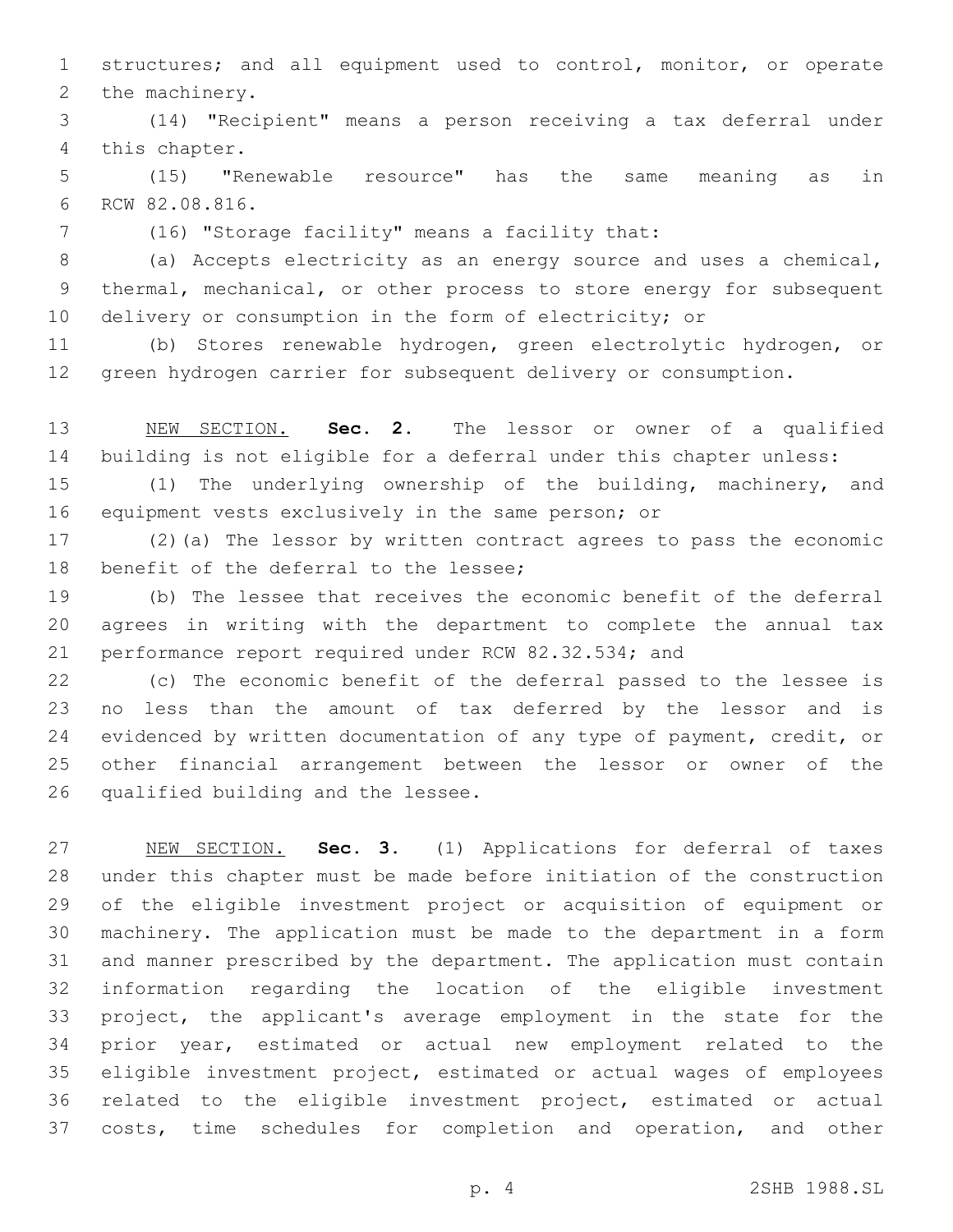structures; and all equipment used to control, monitor, or operate 2 the machinery.

 (14) "Recipient" means a person receiving a tax deferral under 4 this chapter.

 (15) "Renewable resource" has the same meaning as in 6 RCW 82.08.816.

(16) "Storage facility" means a facility that:7

 (a) Accepts electricity as an energy source and uses a chemical, thermal, mechanical, or other process to store energy for subsequent 10 delivery or consumption in the form of electricity; or

 (b) Stores renewable hydrogen, green electrolytic hydrogen, or green hydrogen carrier for subsequent delivery or consumption.

 NEW SECTION. **Sec. 2.** The lessor or owner of a qualified building is not eligible for a deferral under this chapter unless:

 (1) The underlying ownership of the building, machinery, and equipment vests exclusively in the same person; or

 (2)(a) The lessor by written contract agrees to pass the economic 18 benefit of the deferral to the lessee;

 (b) The lessee that receives the economic benefit of the deferral agrees in writing with the department to complete the annual tax performance report required under RCW 82.32.534; and

 (c) The economic benefit of the deferral passed to the lessee is no less than the amount of tax deferred by the lessor and is 24 evidenced by written documentation of any type of payment, credit, or other financial arrangement between the lessor or owner of the 26 qualified building and the lessee.

 NEW SECTION. **Sec. 3.** (1) Applications for deferral of taxes under this chapter must be made before initiation of the construction of the eligible investment project or acquisition of equipment or machinery. The application must be made to the department in a form and manner prescribed by the department. The application must contain information regarding the location of the eligible investment project, the applicant's average employment in the state for the prior year, estimated or actual new employment related to the eligible investment project, estimated or actual wages of employees related to the eligible investment project, estimated or actual costs, time schedules for completion and operation, and other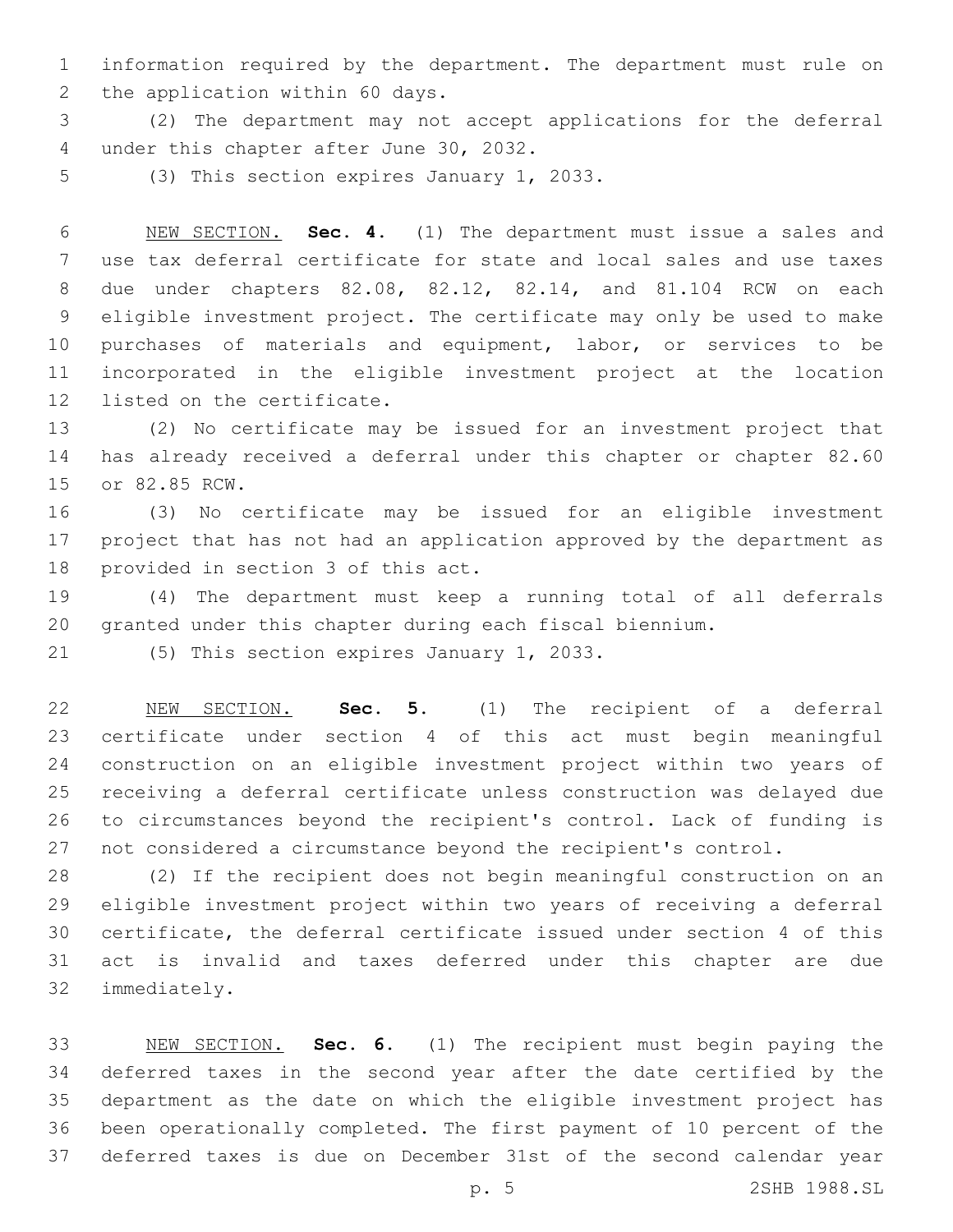information required by the department. The department must rule on 2 the application within 60 days.

 (2) The department may not accept applications for the deferral 4 under this chapter after June 30, 2032.

5 (3) This section expires January 1, 2033.

 NEW SECTION. **Sec. 4.** (1) The department must issue a sales and use tax deferral certificate for state and local sales and use taxes due under chapters 82.08, 82.12, 82.14, and 81.104 RCW on each eligible investment project. The certificate may only be used to make purchases of materials and equipment, labor, or services to be incorporated in the eligible investment project at the location listed on the certificate.

 (2) No certificate may be issued for an investment project that has already received a deferral under this chapter or chapter 82.60 15 or 82.85 RCW.

 (3) No certificate may be issued for an eligible investment project that has not had an application approved by the department as 18 provided in section 3 of this act.

 (4) The department must keep a running total of all deferrals granted under this chapter during each fiscal biennium.

21 (5) This section expires January 1, 2033.

 NEW SECTION. **Sec. 5.** (1) The recipient of a deferral certificate under section 4 of this act must begin meaningful construction on an eligible investment project within two years of receiving a deferral certificate unless construction was delayed due to circumstances beyond the recipient's control. Lack of funding is not considered a circumstance beyond the recipient's control.

 (2) If the recipient does not begin meaningful construction on an eligible investment project within two years of receiving a deferral certificate, the deferral certificate issued under section 4 of this act is invalid and taxes deferred under this chapter are due 32 immediately.

 NEW SECTION. **Sec. 6.** (1) The recipient must begin paying the deferred taxes in the second year after the date certified by the department as the date on which the eligible investment project has been operationally completed. The first payment of 10 percent of the deferred taxes is due on December 31st of the second calendar year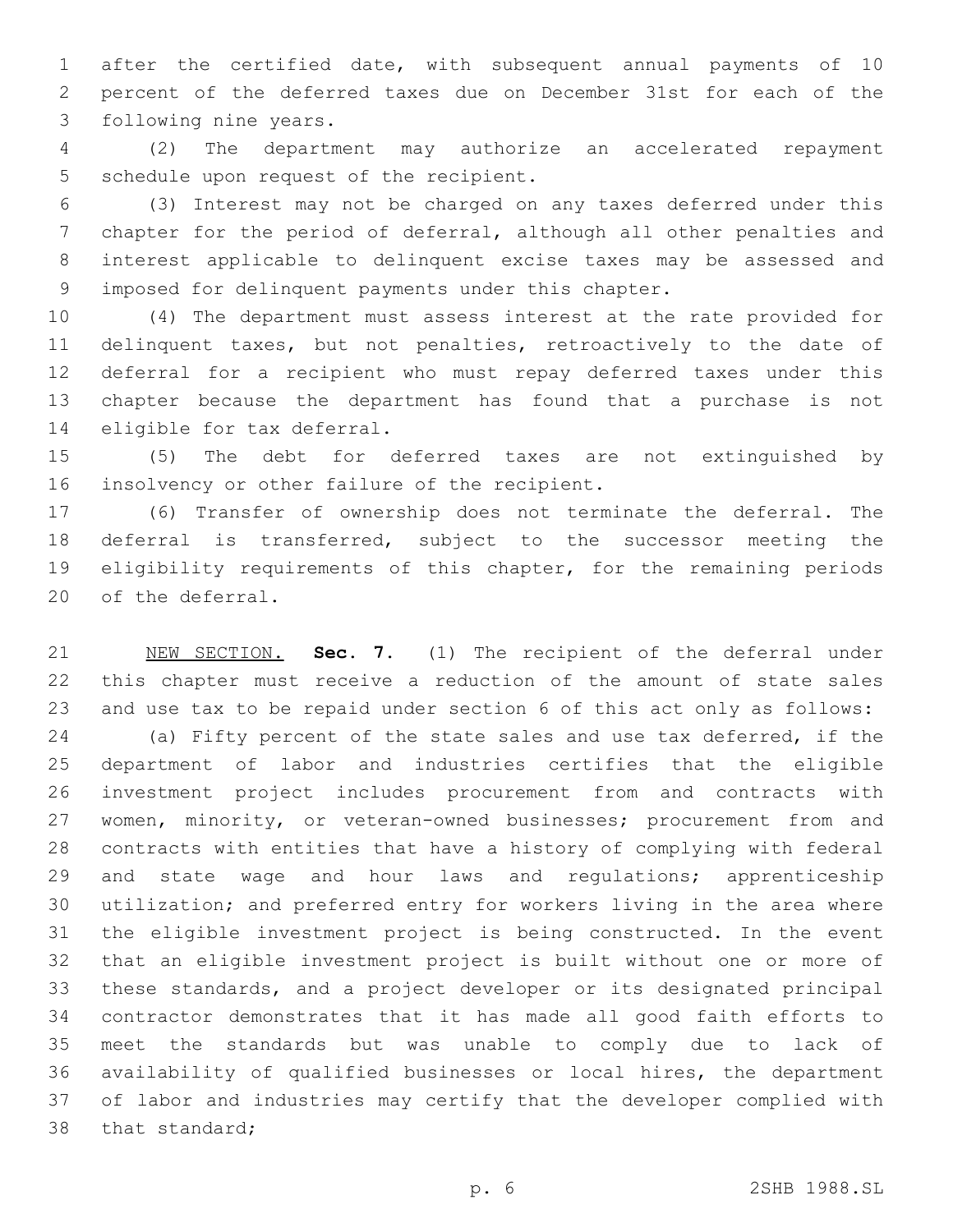after the certified date, with subsequent annual payments of 10 percent of the deferred taxes due on December 31st for each of the 3 following nine years.

 (2) The department may authorize an accelerated repayment 5 schedule upon request of the recipient.

 (3) Interest may not be charged on any taxes deferred under this chapter for the period of deferral, although all other penalties and interest applicable to delinquent excise taxes may be assessed and imposed for delinquent payments under this chapter.

 (4) The department must assess interest at the rate provided for delinquent taxes, but not penalties, retroactively to the date of deferral for a recipient who must repay deferred taxes under this chapter because the department has found that a purchase is not 14 eligible for tax deferral.

 (5) The debt for deferred taxes are not extinguished by 16 insolvency or other failure of the recipient.

 (6) Transfer of ownership does not terminate the deferral. The deferral is transferred, subject to the successor meeting the eligibility requirements of this chapter, for the remaining periods 20 of the deferral.

 NEW SECTION. **Sec. 7.** (1) The recipient of the deferral under this chapter must receive a reduction of the amount of state sales and use tax to be repaid under section 6 of this act only as follows:

 (a) Fifty percent of the state sales and use tax deferred, if the department of labor and industries certifies that the eligible investment project includes procurement from and contracts with 27 women, minority, or veteran-owned businesses; procurement from and contracts with entities that have a history of complying with federal 29 and state wage and hour laws and regulations; apprenticeship utilization; and preferred entry for workers living in the area where the eligible investment project is being constructed. In the event that an eligible investment project is built without one or more of these standards, and a project developer or its designated principal contractor demonstrates that it has made all good faith efforts to meet the standards but was unable to comply due to lack of availability of qualified businesses or local hires, the department of labor and industries may certify that the developer complied with 38 that standard;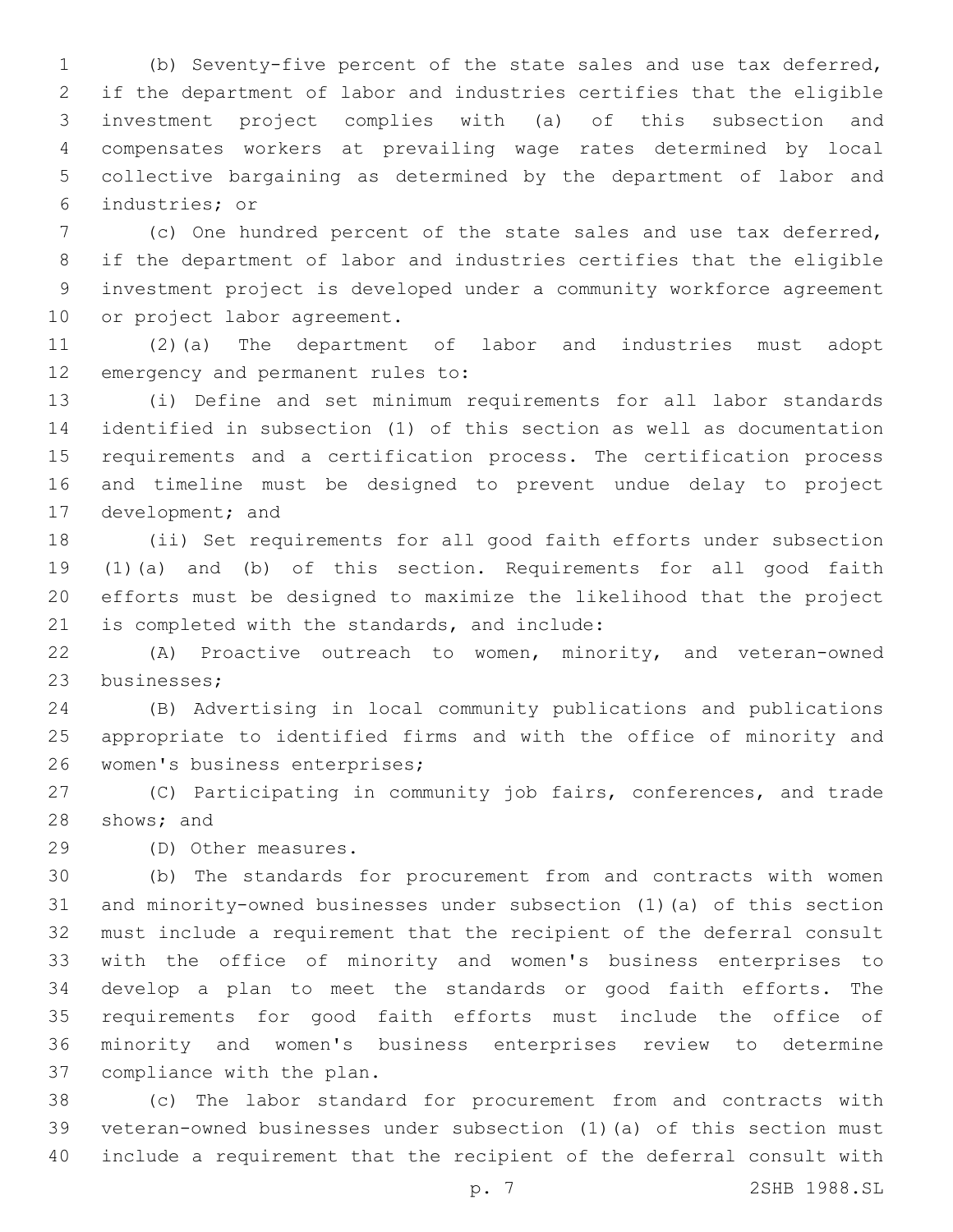(b) Seventy-five percent of the state sales and use tax deferred, if the department of labor and industries certifies that the eligible investment project complies with (a) of this subsection and compensates workers at prevailing wage rates determined by local collective bargaining as determined by the department of labor and industries; or6

 (c) One hundred percent of the state sales and use tax deferred, if the department of labor and industries certifies that the eligible investment project is developed under a community workforce agreement 10 or project labor agreement.

 (2)(a) The department of labor and industries must adopt 12 emergency and permanent rules to:

 (i) Define and set minimum requirements for all labor standards identified in subsection (1) of this section as well as documentation requirements and a certification process. The certification process and timeline must be designed to prevent undue delay to project 17 development; and

 (ii) Set requirements for all good faith efforts under subsection (1)(a) and (b) of this section. Requirements for all good faith efforts must be designed to maximize the likelihood that the project 21 is completed with the standards, and include:

 (A) Proactive outreach to women, minority, and veteran-owned 23 businesses:

 (B) Advertising in local community publications and publications appropriate to identified firms and with the office of minority and 26 women's business enterprises;

 (C) Participating in community job fairs, conferences, and trade 28 shows; and

29 (D) Other measures.

 (b) The standards for procurement from and contracts with women and minority-owned businesses under subsection (1)(a) of this section must include a requirement that the recipient of the deferral consult with the office of minority and women's business enterprises to develop a plan to meet the standards or good faith efforts. The requirements for good faith efforts must include the office of minority and women's business enterprises review to determine 37 compliance with the plan.

 (c) The labor standard for procurement from and contracts with veteran-owned businesses under subsection (1)(a) of this section must include a requirement that the recipient of the deferral consult with

p. 7 2SHB 1988.SL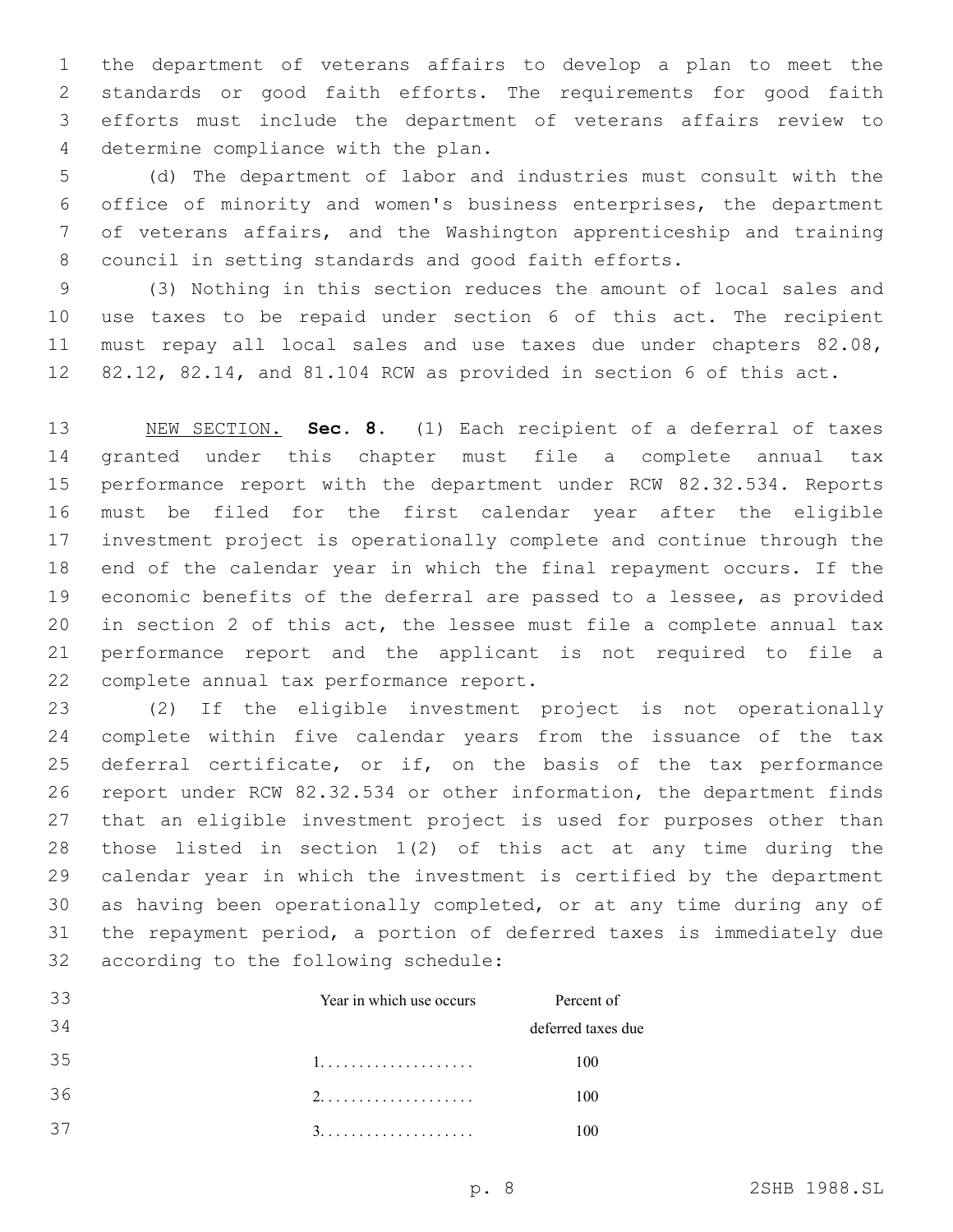the department of veterans affairs to develop a plan to meet the standards or good faith efforts. The requirements for good faith efforts must include the department of veterans affairs review to 4 determine compliance with the plan.

 (d) The department of labor and industries must consult with the office of minority and women's business enterprises, the department of veterans affairs, and the Washington apprenticeship and training council in setting standards and good faith efforts.

 (3) Nothing in this section reduces the amount of local sales and use taxes to be repaid under section 6 of this act. The recipient 11 must repay all local sales and use taxes due under chapters 82.08, 82.12, 82.14, and 81.104 RCW as provided in section 6 of this act.

 NEW SECTION. **Sec. 8.** (1) Each recipient of a deferral of taxes granted under this chapter must file a complete annual tax performance report with the department under RCW 82.32.534. Reports must be filed for the first calendar year after the eligible investment project is operationally complete and continue through the end of the calendar year in which the final repayment occurs. If the economic benefits of the deferral are passed to a lessee, as provided in section 2 of this act, the lessee must file a complete annual tax performance report and the applicant is not required to file a complete annual tax performance report.

 (2) If the eligible investment project is not operationally complete within five calendar years from the issuance of the tax deferral certificate, or if, on the basis of the tax performance report under RCW 82.32.534 or other information, the department finds that an eligible investment project is used for purposes other than those listed in section 1(2) of this act at any time during the calendar year in which the investment is certified by the department as having been operationally completed, or at any time during any of the repayment period, a portion of deferred taxes is immediately due 32 according to the following schedule:

| -33 | Year in which use occurs | Percent of         |
|-----|--------------------------|--------------------|
| 34  |                          | deferred taxes due |
| 35  |                          | 100                |
| 36  |                          | 100                |
| 37  |                          |                    |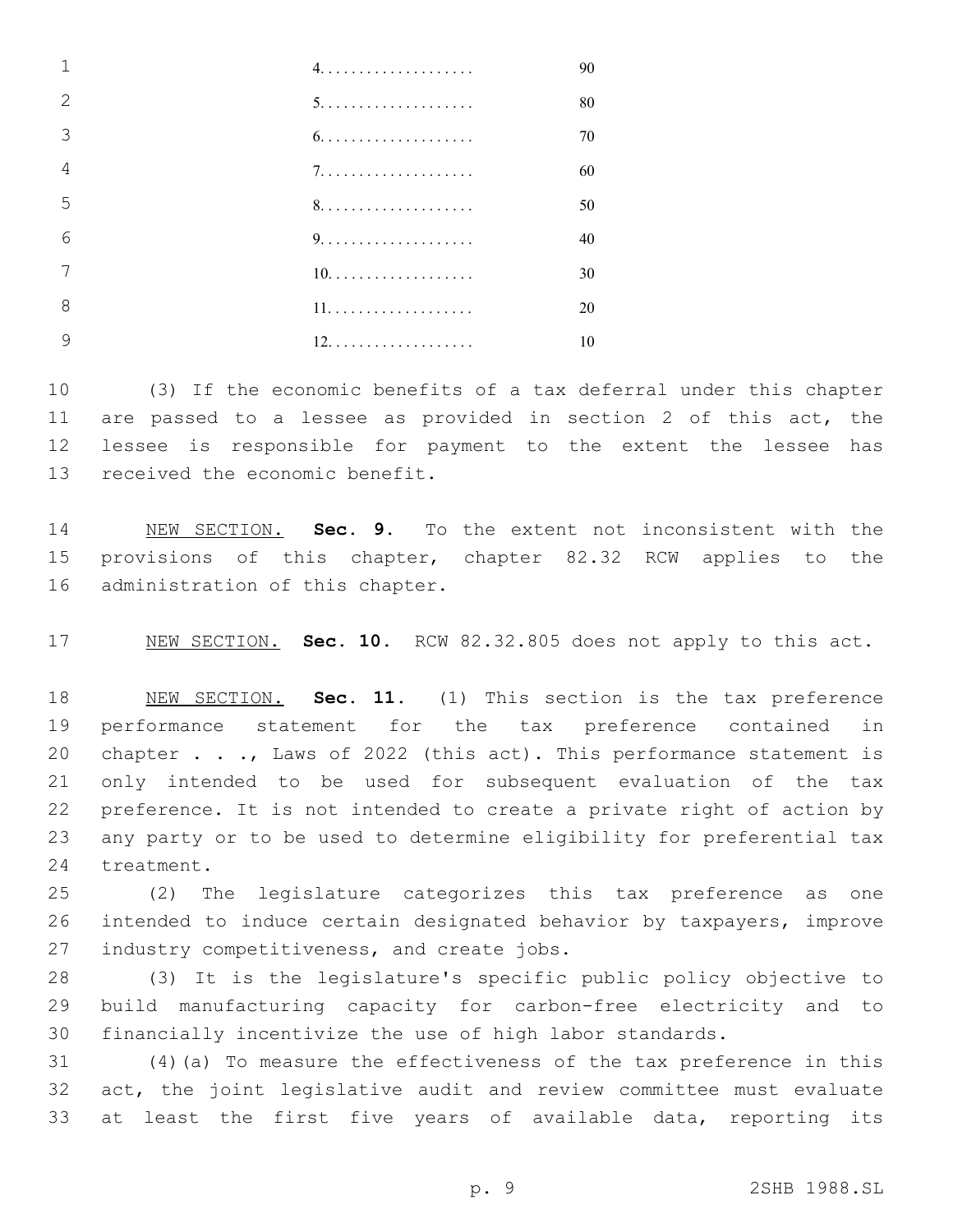|   |     | 90 |
|---|-----|----|
|   |     | 80 |
|   |     | 70 |
| 4 |     | 60 |
| 5 |     | 50 |
| 6 |     | 40 |
|   | 10. | 30 |
| 8 |     | 20 |
|   |     | 10 |
|   |     |    |

 (3) If the economic benefits of a tax deferral under this chapter are passed to a lessee as provided in section 2 of this act, the lessee is responsible for payment to the extent the lessee has 13 received the economic benefit.

 NEW SECTION. **Sec. 9.** To the extent not inconsistent with the provisions of this chapter, chapter 82.32 RCW applies to the administration of this chapter.

NEW SECTION. **Sec. 10.** RCW 82.32.805 does not apply to this act.

 NEW SECTION. **Sec. 11.** (1) This section is the tax preference performance statement for the tax preference contained in 20 chapter . . ., Laws of 2022 (this act). This performance statement is only intended to be used for subsequent evaluation of the tax preference. It is not intended to create a private right of action by any party or to be used to determine eligibility for preferential tax treatment.

 (2) The legislature categorizes this tax preference as one intended to induce certain designated behavior by taxpayers, improve 27 industry competitiveness, and create jobs.

 (3) It is the legislature's specific public policy objective to build manufacturing capacity for carbon-free electricity and to financially incentivize the use of high labor standards.

 (4)(a) To measure the effectiveness of the tax preference in this act, the joint legislative audit and review committee must evaluate at least the first five years of available data, reporting its